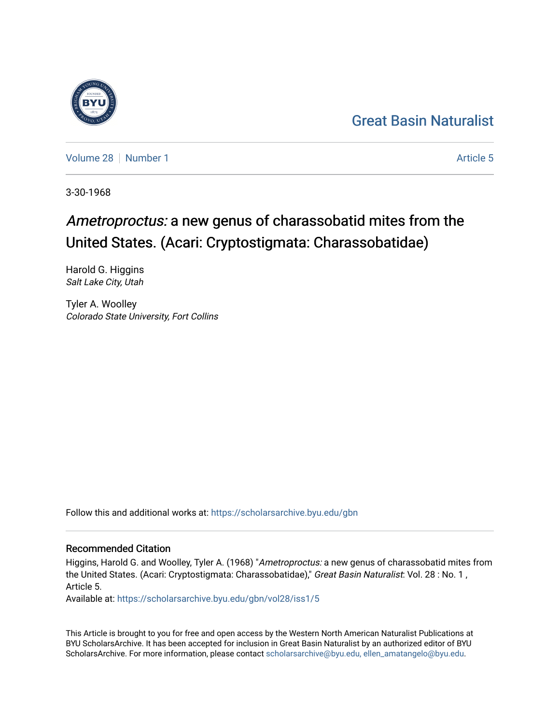## [Great Basin Naturalist](https://scholarsarchive.byu.edu/gbn)

[Volume 28](https://scholarsarchive.byu.edu/gbn/vol28) [Number 1](https://scholarsarchive.byu.edu/gbn/vol28/iss1) [Article 5](https://scholarsarchive.byu.edu/gbn/vol28/iss1/5) Article 5

3-30-1968

# Ametroproctus: a new genus of charassobatid mites from the United States. (Acari: Cryptostigmata: Charassobatidae)

Harold G. Higgins Salt Lake City, Utah

Tyler A. Woolley Colorado State University, Fort Collins

Follow this and additional works at: [https://scholarsarchive.byu.edu/gbn](https://scholarsarchive.byu.edu/gbn?utm_source=scholarsarchive.byu.edu%2Fgbn%2Fvol28%2Fiss1%2F5&utm_medium=PDF&utm_campaign=PDFCoverPages) 

## Recommended Citation

Higgins, Harold G. and Woolley, Tyler A. (1968) "Ametroproctus: a new genus of charassobatid mites from the United States. (Acari: Cryptostigmata: Charassobatidae)," Great Basin Naturalist: Vol. 28 : No. 1, Article 5.

Available at: [https://scholarsarchive.byu.edu/gbn/vol28/iss1/5](https://scholarsarchive.byu.edu/gbn/vol28/iss1/5?utm_source=scholarsarchive.byu.edu%2Fgbn%2Fvol28%2Fiss1%2F5&utm_medium=PDF&utm_campaign=PDFCoverPages)

This Article is brought to you for free and open access by the Western North American Naturalist Publications at BYU ScholarsArchive. It has been accepted for inclusion in Great Basin Naturalist by an authorized editor of BYU ScholarsArchive. For more information, please contact [scholarsarchive@byu.edu, ellen\\_amatangelo@byu.edu.](mailto:scholarsarchive@byu.edu,%20ellen_amatangelo@byu.edu)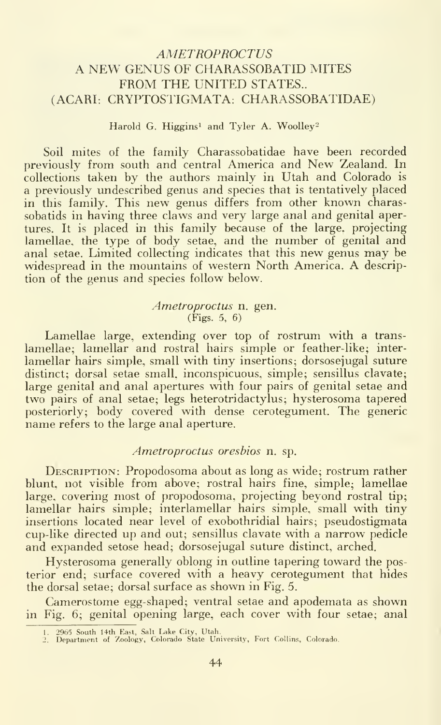## AMETROPROCTUS A NEW GENUS OF CHARASSOBATID MITES FROM THE UNITED STATES.. (ACARI: CRYPTOSIIGMATA. CHARASSOBATIDAE)

#### Harold G. Higgins<sup>1</sup> and Tyler A. Woolley<sup>2</sup>

Soil mites of the family Charassobatidae have been recorded previously from south and central America and New Zealand. In collections taken by the authors mainly in Utah and Colorado is a previously undescribed genus and species that is tentatively placed in this family. This new genus differs from other known charassobatids in having three claws and very large anal and genital apertures. It is placed in this family because of the large, projecting lamellae, the type of body setae, and the number of genital and anal setae. Limited collecting indicates that this new genus may be widespread in the mountains of western North America. A description of the genus and species follow below.

#### Ametroproctus n. gen. (Figs. 5, 6)

Lamellae large, extending over top of rostrum with a trans lamellae; lamellar and rostral hairs simple or feather-like; interlamellar hairs simple, small with tiny insertions; dorsosejugal suture distinct; dorsal setae small, inconspicuous, simple; sensillus clavate; large genital and anal apertures with four pairs of genital setae and two pairs of anal setae; legs heterotridactylus; hysterosoma tapered posteriorly; body covered with dense cerotegument. The generic name refers to the large anal aperture.

### Ametroproctus oresbios n. sp.

DESCRIPTION: Propodosoma about as long as wide; rostrum rather blunt, not visible from above; rostral hairs fine, simple; lamellae large, covering most of propodosoma. projecting beyond rostral tip; lamellar hairs simple; interlamellar hairs simple, small with tiny insertions located near level of exobothridial hairs; pseudostigmata cup-like directed up and out; sensillus clavate with a narrow pedicle and expanded setose head; dorsosejugal suture distinct, arched.

Hysterosoma generally oblong in outline tapering toward the posterior end; surface covered with a heavy cerotegument that hides the dorsal setae; dorsal surface as shown in Fig. 5.

Camerostome egg-shaped; ventral setae and apodemata as shown in Fig. 6; genital opening large, each cover with four setae; anal

<sup>1.</sup> 2965 South 14th East, Salt Lake City, Utah. 2. Department of Zoology, Colorado State University, Fort Collins, Colorado.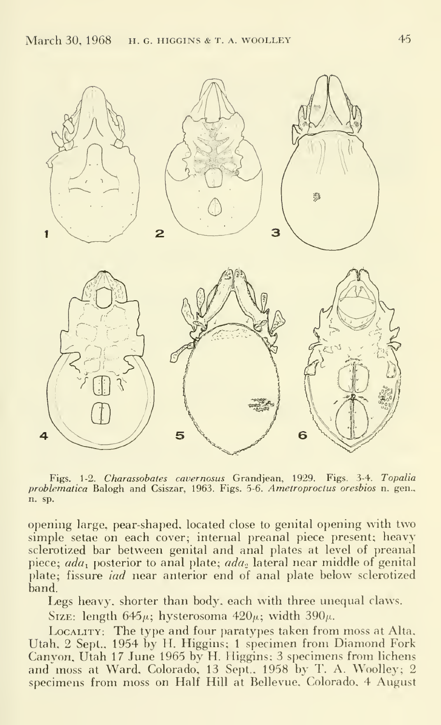

Figs. 1-2. Charassobates cavernosas Grandjean, 1929. Figs. 3-4. Topalia problematica Balogh and Csiszar, 1963. Figs. 5-6. Ametroproctus oresbios n. gen., n. sp.

opening large, pear-shaped, located close to genital opening with two simple setae on each cover; internal preanal piece present; heavy sclerotized bar between genital and anal plates at level of preanal piece;  $ada_1$  posterior to anal plate;  $ada_2$  lateral near middle of genital plate; fissure *iad* near anterior end of anal plate below sclerotized band.

Legs heavy, shorter than body, each with three unequal claws.

Size: length  $645\mu$ ; hysterosoma  $420\mu$ ; width  $390\mu$ .

LOCALITY: The type and four paratypes taken from moss at Alta, Utah. 2 Sept.. 1954 by H. Higgins; <sup>1</sup> specimen from Diamond Fork Canyon, Utah 17 June 1965 by H. Higgins; 3 specimens from lichens and moss at Ward, Colorado, 13 Sept.. 1958 by T. A. Woolley; 2 specimens from moss on Half Hill at Bellevue, Colorado. 4 August